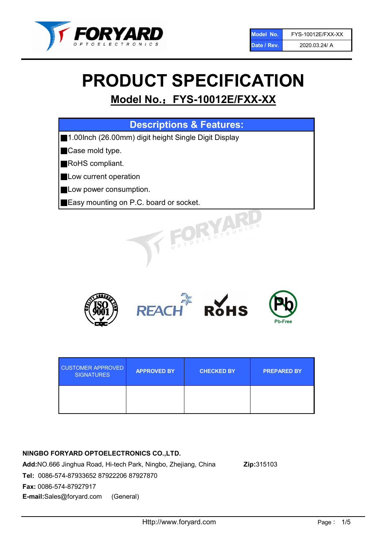

# PRODUCT SPECIFICATION

## Model No.: FYS-10012E/FXX-XX

| <b>Descriptions &amp; Features:</b>                  |
|------------------------------------------------------|
| 1.00lnch (26.00mm) digit height Single Digit Display |
| Case mold type.                                      |
| RoHS compliant.                                      |
| Low current operation                                |
| Low power consumption.                               |
| Easy mounting on P.C. board or socket.               |
| OELECTRONICS                                         |



| <b>CUSTOMER APPROVED</b><br><b>SIGNATURES</b> | <b>APPROVED BY</b> | <b>CHECKED BY</b> | <b>PREPARED BY</b> |
|-----------------------------------------------|--------------------|-------------------|--------------------|
|                                               |                    |                   |                    |

## NINGBO FORYARD OPTOELECTRONICS CO.,LTD.

Add:NO.666 Jinghua Road, Hi-tech Park, Ningbo, Zhejiang, China Zip:315103 Tel: 0086-574-87933652 87922206 87927870 Fax: 0086-574-87927917 E-mail:Sales@foryard.com (General)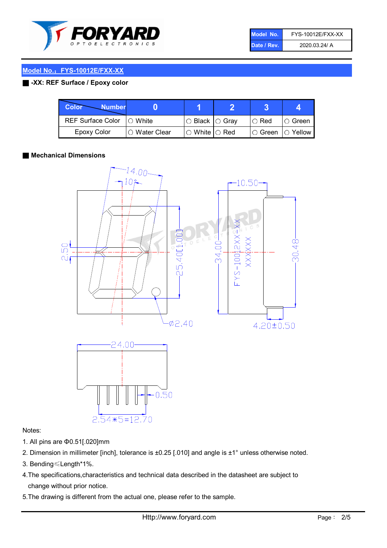

| Model No.   | FYS-10012E/FXX-XX |
|-------------|-------------------|
| Date / Rev. | 2020.03.24/ A     |

## Model No.: FYS-10012E/FXX-XX

## ■ -XX: REF Surface / Epoxy color

| Color<br><b>Number</b>     |                        |                            |          |                |
|----------------------------|------------------------|----------------------------|----------|----------------|
| REF Surface Color  ○ White |                        | $\circ$ Black $\circ$ Gray | I⊖ Red   | IO Green i     |
| Epoxy Color                | $\bigcirc$ Water Clear | $\circ$ White $\circ$ Red  | I⊖ Green | $\circ$ Yellow |

## ■ Mechanical Dimensions



## Notes:

- 1. All pins are Φ0.51[.020]mm
- 2. Dimension in millimeter [inch], tolerance is ±0.25 [.010] and angle is ±1° unless otherwise noted.

 $0.50$ 

- 3. Bending≤Length\*1%.
- 4.The specifications,characteristics and technical data described in the datasheet are subject to change without prior notice.
- 5.The drawing is different from the actual one, please refer to the sample.

 $2.54*5=12.70$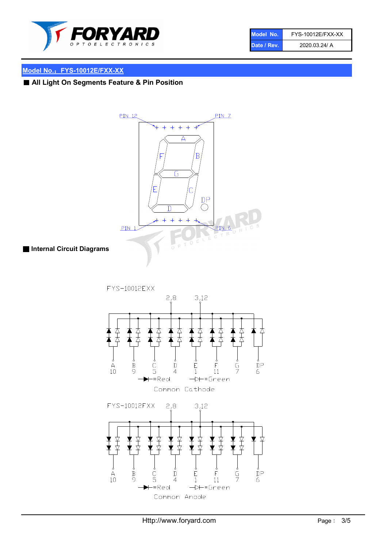

| Model No.   | FYS-10012E/FXX-XX |
|-------------|-------------------|
| Date / Rev. | 2020.03.24/ A     |

## Model No.: FYS-10012E/FXX-XX

## ■ All Light On Segments Feature & Pin Position



■ Internal Circuit Diagrams

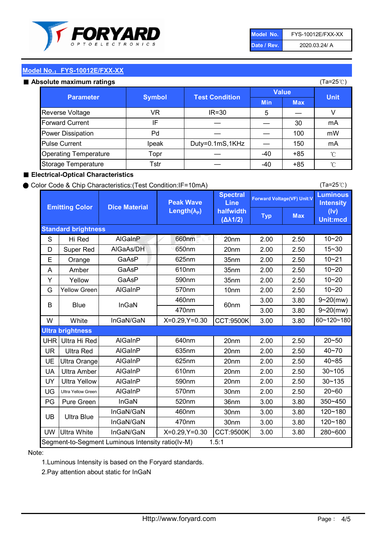

| Model No.   | FYS-10012E/FXX-XX |
|-------------|-------------------|
| Date / Rev. | 2020.03.24/ A     |

(Ta=25℃)

## Model No.: FYS-10012E/FXX-XX

#### Absolute maximum ratings

| solute maximum ratings       |               |                       |              |            | (Ta=25℃)    |
|------------------------------|---------------|-----------------------|--------------|------------|-------------|
| <b>Parameter</b>             | <b>Symbol</b> | <b>Test Condition</b> | <b>Value</b> |            |             |
|                              |               |                       | <b>Min</b>   | <b>Max</b> | <b>Unit</b> |
| Reverse Voltage              | VR            | $IR = 30$             | 5            |            |             |
| <b>Forward Current</b>       | ΙF            |                       |              | 30         | mA          |
| Power Dissipation            | Pd            |                       |              | 100        | mW          |
| <b>Pulse Current</b>         | Ipeak         | Duty=0.1mS,1KHz       |              | 150        | mA          |
| <b>Operating Temperature</b> | Topr          |                       | $-40$        | $+85$      | °C          |
| Storage Temperature          | Tstr          |                       | $-40$        | $+85$      | °C          |

## ■ Electrical-Optical Characteristics

### ● Color Code & Chip Characteristics:(Test Condition:IF=10mA)

Typ Max S | Hi $\textsf{Red}$  | AlGaInP | 660nm LE 20nm | 2.00 | 2.50 D | Super Red | AIGaAs/DH | 650nm | 20nm | 2.00 | 2.50 E | Orange | GaAsP | 625nm | 35nm | 2.00 | 2.50 A | Amber | GaAsP | 610nm | 35nm | 2.00 | 2.50 Y | Yellow | GaAsP | 590nm | 35nm | 2.00 | 2.50 G Yellow Green AIGaInP | 570nm | 10nm | 2.00 | 2.50 3.00 3.80 3.00 3.80 W | White | InGaN/GaN | X=0.29,Y=0.30 |CCT:9500K| 3.00 | 3.80 UHR Ultra Hi Red | AlGaInP | 640nm | 20nm | 2.00 | 2.50 UR | Ultra Red | AlGaInP | 635nm | 20nm | 2.00 | 2.50 UE Ultra Orange | AIGaInP | 625nm | 20nm | 2.00 | 2.50 UA Ultra Amber | AIGaInP | 610nm | 20nm | 2.00 | 2.50  $UV$  Ultra Yellow  $\vert$  AlGaInP  $\vert$  590nm  $\vert$  20nm  $\vert$  2.00  $\vert$  2.50  $\text{UG}$  Ultra Yellow Green | AIGaInP | 570nm | 30nm | 2.00 | 2.50 PG Pure Green | InGaN | 520nm | 36nm | 3.00 | 3.80 30nm 3.00 3.80 30nm 3.00 3.80 UW |Ultra White | InGaN/GaN | X=0.29,Y=0.30 |CCT:9500K| 3.00 | 3.80 10~20 Standard brightness Forward Voltage(VF) Unit:V 15~30 10~20 10~20 625nm GaAsP 590nm **Emitting Color Dice Material** 10~21 610nm Luminous **Intensity** (Iv) Unit:mcd AlGainP 660nm GaAsP GaAsP AlGaAs/DH **Spectral** Line halfwidth (∆λ1/2) Peak Wave Length $(\lambda_{\rm P})$ UB 460nm 635nm AlGaInP AlGaInP AlGaInP InGaN/GaN AlGaInP | 570nm | 10nm | 2.00 | 2.50 | 10~20 30~105 30~135 460nm 520nm Ultra brightness **AlGaInP** AlGaInP 60nm AlGaInP 640nm Segment-to-Segment Luminous Intensity ratio(Iv-M) 1.5:1 610nm 9~20(mw) 350~450 470nm 120~180 120~180 Ultra Blue InGaN/GaN InGaN/GaN 9~20(mw) 20~50 280~600 570nm | 30nm | 2.00 | 2.50 | 20~60 470nm 590nm InGaN/GaN B Blue I InGaN 40~85 60~120~180 40~70

### Note:

1.Luminous Intensity is based on the Foryard standards.

2.Pay attention about static for InGaN